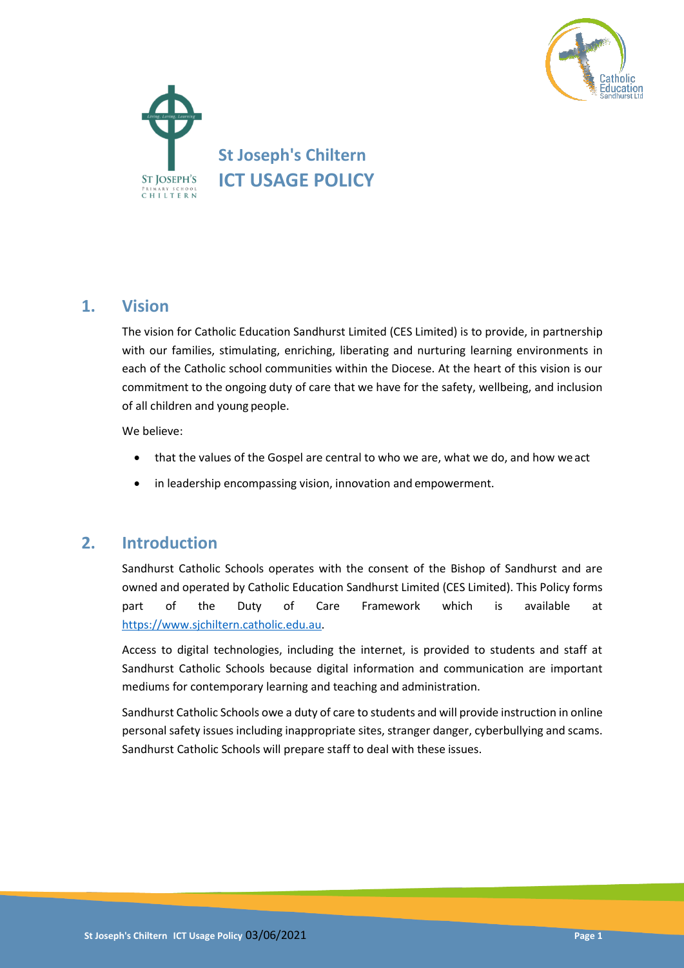



### **1. Vision**

The vision for Catholic Education Sandhurst Limited (CES Limited) is to provide, in partnership with our families, stimulating, enriching, liberating and nurturing learning environments in each of the Catholic school communities within the Diocese. At the heart of this vision is our commitment to the ongoing duty of care that we have for the safety, wellbeing, and inclusion of all children and young people.

We believe:

- that the values of the Gospel are central to who we are, what we do, and how weact
- in leadership encompassing vision, innovation and empowerment.

# **2. Introduction**

Sandhurst Catholic Schools operates with the consent of the Bishop of Sandhurst and are owned and operated by Catholic Education Sandhurst Limited (CES Limited). This Policy forms part of the Duty of Care Framework which is available at [https://www.sjchiltern.catholic.edu.au.](https://www.sjchiltern.catholic.edu.au/)

Access to digital technologies, including the internet, is provided to students and staff at Sandhurst Catholic Schools because digital information and communication are important mediums for contemporary learning and teaching and administration.

Sandhurst Catholic Schools owe a duty of care to students and will provide instruction in online personal safety issues including inappropriate sites, stranger danger, cyberbullying and scams. Sandhurst Catholic Schools will prepare staff to deal with these issues.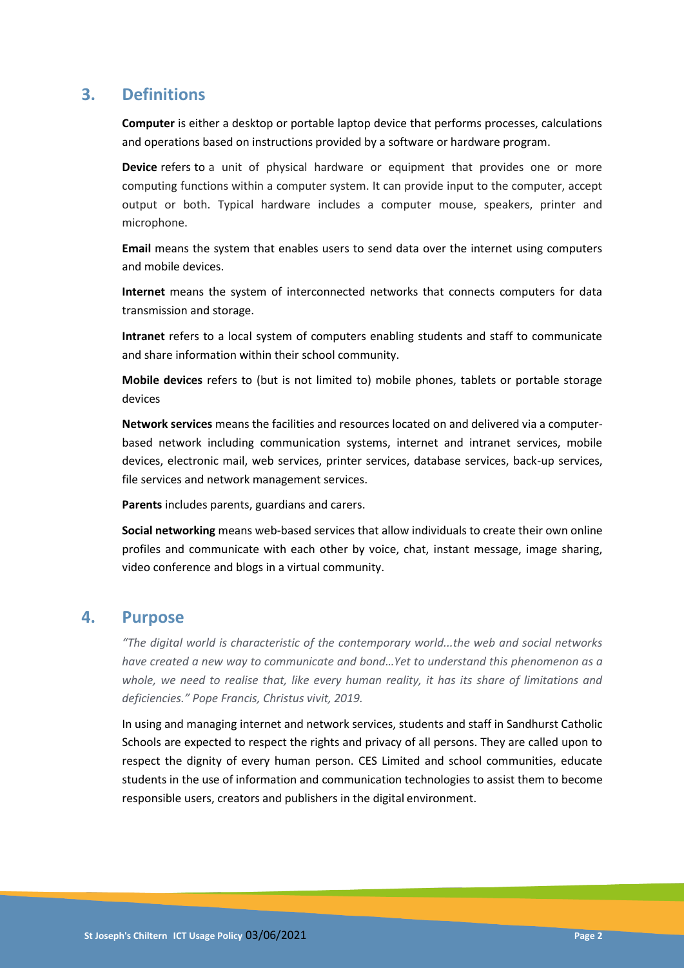### **3. Definitions**

**Computer** is either a desktop or portable laptop device that performs processes, calculations and operations based on instructions provided by a software or hardware program.

**Device** refers to a unit of physical hardware or equipment that provides one or more computing functions within a computer system. It can provide input to the computer, accept output or both. Typical hardware includes a computer mouse, speakers, printer and microphone.

**Email** means the system that enables users to send data over the internet using computers and mobile devices.

**Internet** means the system of interconnected networks that connects computers for data transmission and storage.

**Intranet** refers to a local system of computers enabling students and staff to communicate and share information within their school community.

**Mobile devices** refers to (but is not limited to) mobile phones, tablets or portable storage devices

**Network services** means the facilities and resources located on and delivered via a computerbased network including communication systems, internet and intranet services, mobile devices, electronic mail, web services, printer services, database services, back-up services, file services and network management services.

**Parents** includes parents, guardians and carers.

**Social networking** means web-based services that allow individuals to create their own online profiles and communicate with each other by voice, chat, instant message, image sharing, video conference and blogs in a virtual community.

### **4. Purpose**

*"The digital world is characteristic of the contemporary world...the web and social networks have created a new way to communicate and bond...Yet to understand this phenomenon as a whole, we need to realise that, like every human reality, it has its share of limitations and deficiencies." Pope Francis, Christus vivit, 2019.*

In using and managing internet and network services, students and staff in Sandhurst Catholic Schools are expected to respect the rights and privacy of all persons. They are called upon to respect the dignity of every human person. CES Limited and school communities, educate students in the use of information and communication technologies to assist them to become responsible users, creators and publishers in the digital environment.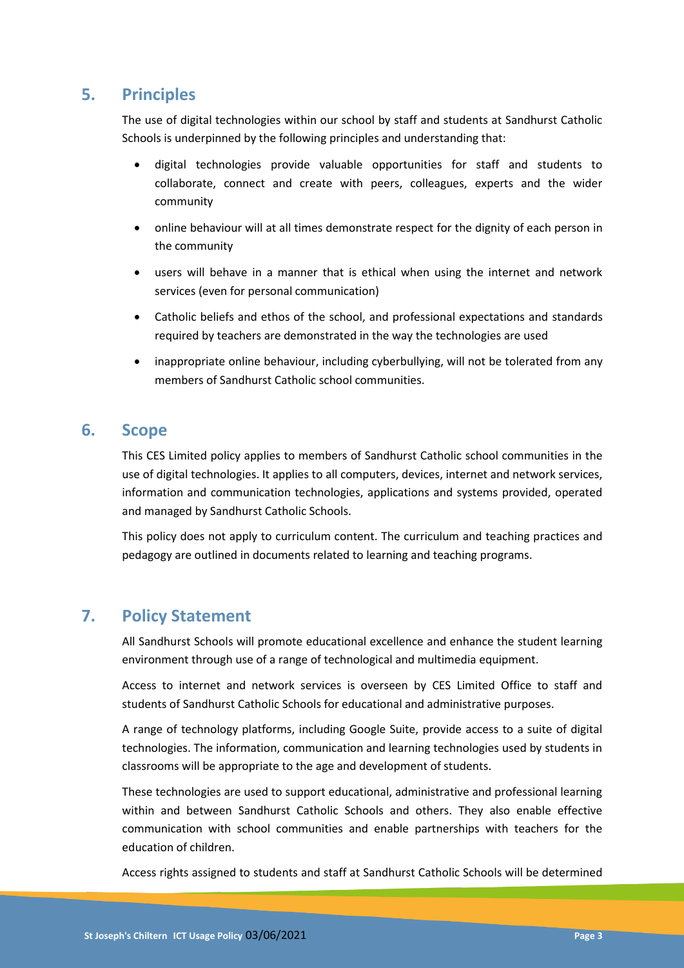# **5. Principles**

The use of digital technologies within our school by staff and students at Sandhurst Catholic Schools is underpinned by the following principles and understanding that:

- digital technologies provide valuable opportunities for staff and students to collaborate, connect and create with peers, colleagues, experts and the wider community
- online behaviour will at all times demonstrate respect for the dignity of each person in the community
- users will behave in a manner that is ethical when using the internet and network services (even for personal communication)
- Catholic beliefs and ethos of the school, and professional expectations and standards required by teachers are demonstrated in the way the technologies are used
- inappropriate online behaviour, including cyberbullying, will not be tolerated from any members of Sandhurst Catholic school communities.

### **6. Scope**

This CES Limited policy applies to members of Sandhurst Catholic school communities in the use of digital technologies. It applies to all computers, devices, internet and network services, information and communication technologies, applications and systems provided, operated and managed by Sandhurst Catholic Schools.

This policy does not apply to curriculum content. The curriculum and teaching practices and pedagogy are outlined in documents related to learning and teaching programs.

# **7. Policy Statement**

All Sandhurst Schools will promote educational excellence and enhance the student learning environment through use of a range of technological and multimedia equipment.

Access to internet and network services is overseen by CES Limited Office to staff and students of Sandhurst Catholic Schools for educational and administrative purposes.

A range of technology platforms, including Google Suite, provide access to a suite of digital technologies. The information, communication and learning technologies used by students in classrooms will be appropriate to the age and development of students.

These technologies are used to support educational, administrative and professional learning within and between Sandhurst Catholic Schools and others. They also enable effective communication with school communities and enable partnerships with teachers for the education of children.

Access rights assigned to students and staff at Sandhurst Catholic Schools will be determined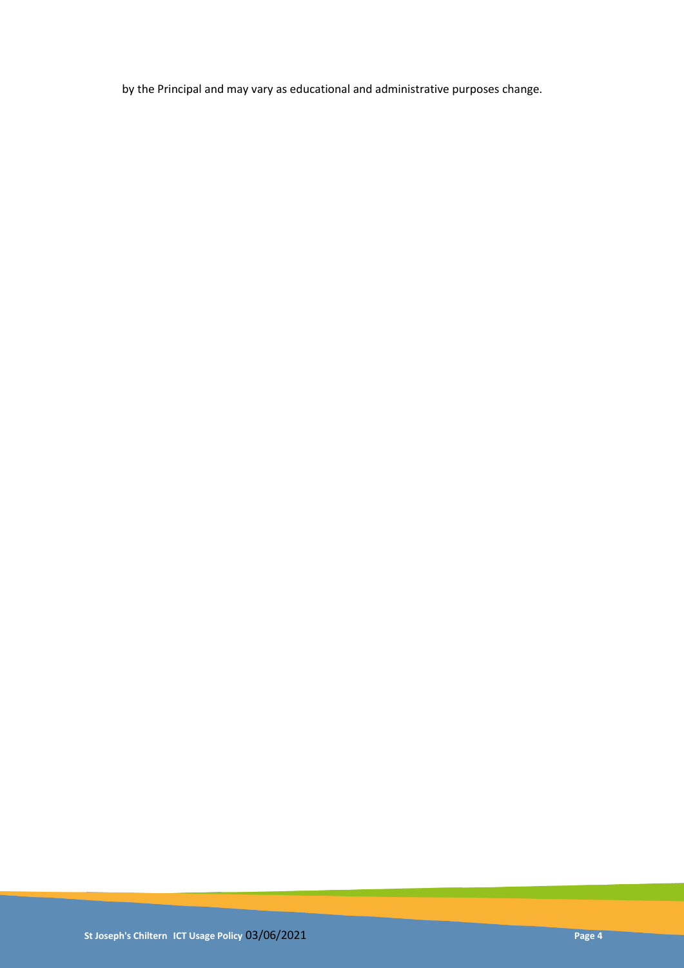by the Principal and may vary as educational and administrative purposes change.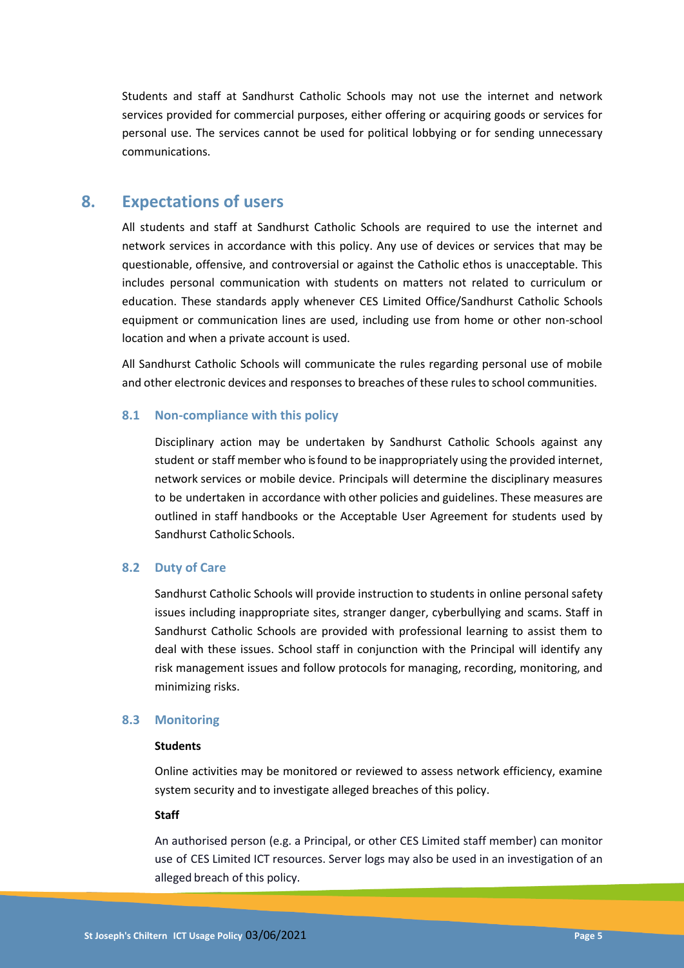Students and staff at Sandhurst Catholic Schools may not use the internet and network services provided for commercial purposes, either offering or acquiring goods or services for personal use. The services cannot be used for political lobbying or for sending unnecessary communications.

### **8. Expectations of users**

All students and staff at Sandhurst Catholic Schools are required to use the internet and network services in accordance with this policy. Any use of devices or services that may be questionable, offensive, and controversial or against the Catholic ethos is unacceptable. This includes personal communication with students on matters not related to curriculum or education. These standards apply whenever CES Limited Office/Sandhurst Catholic Schools equipment or communication lines are used, including use from home or other non-school location and when a private account is used.

All Sandhurst Catholic Schools will communicate the rules regarding personal use of mobile and other electronic devices and responsesto breaches of these rulesto school communities.

#### **8.1 Non-compliance with this policy**

Disciplinary action may be undertaken by Sandhurst Catholic Schools against any student or staff member who is found to be inappropriately using the provided internet, network services or mobile device. Principals will determine the disciplinary measures to be undertaken in accordance with other policies and guidelines. These measures are outlined in staff handbooks or the Acceptable User Agreement for students used by Sandhurst Catholic Schools.

### **8.2 Duty of Care**

Sandhurst Catholic Schools will provide instruction to students in online personal safety issues including inappropriate sites, stranger danger, cyberbullying and scams. Staff in Sandhurst Catholic Schools are provided with professional learning to assist them to deal with these issues. School staff in conjunction with the Principal will identify any risk management issues and follow protocols for managing, recording, monitoring, and minimizing risks.

#### **8.3 Monitoring**

#### **Students**

Online activities may be monitored or reviewed to assess network efficiency, examine system security and to investigate alleged breaches of this policy.

#### **Staff**

An authorised person (e.g. a Principal, or other CES Limited staff member) can monitor use of CES Limited ICT resources. Server logs may also be used in an investigation of an alleged breach of this policy.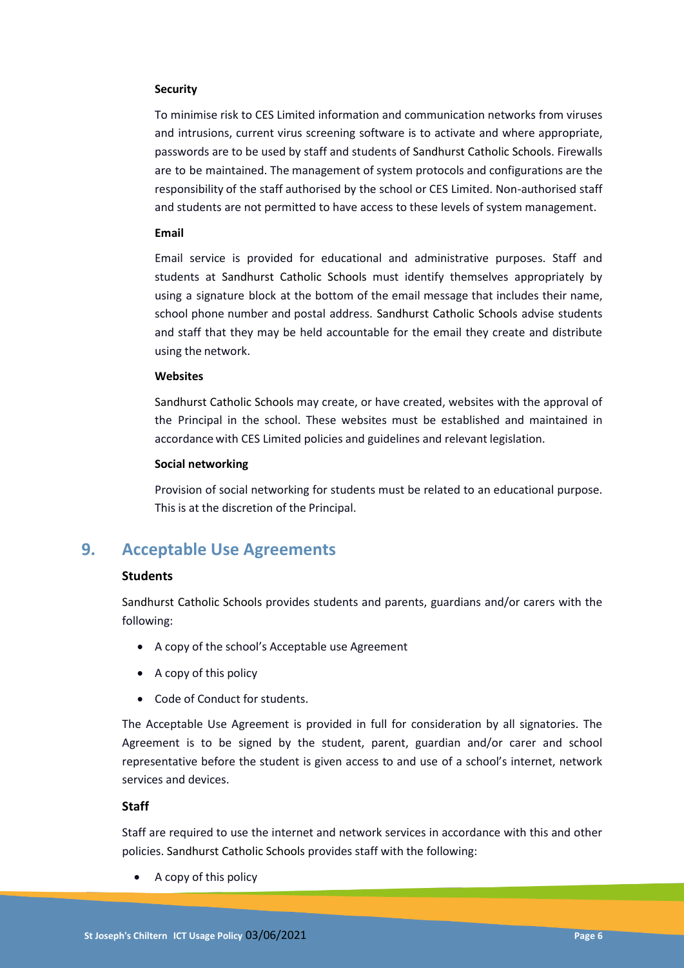#### **Security**

To minimise risk to CES Limited information and communication networks from viruses and intrusions, current virus screening software is to activate and where appropriate, passwords are to be used by staff and students of Sandhurst Catholic Schools. Firewalls are to be maintained. The management of system protocols and configurations are the responsibility of the staff authorised by the school or CES Limited. Non-authorised staff and students are not permitted to have access to these levels of system management.

#### **Email**

Email service is provided for educational and administrative purposes. Staff and students at Sandhurst Catholic Schools must identify themselves appropriately by using a signature block at the bottom of the email message that includes their name, school phone number and postal address. Sandhurst Catholic Schools advise students and staff that they may be held accountable for the email they create and distribute using the network.

#### **Websites**

Sandhurst Catholic Schools may create, or have created, websites with the approval of the Principal in the school. These websites must be established and maintained in accordance with CES Limited policies and guidelines and relevant legislation.

#### **Social networking**

Provision of social networking for students must be related to an educational purpose. This is at the discretion of the Principal.

### **9. Acceptable Use Agreements**

### **Students**

Sandhurst Catholic Schools provides students and parents, guardians and/or carers with the following:

- A copy of the school's Acceptable use Agreement
- A copy of this policy
- Code of Conduct for students.

The Acceptable Use Agreement is provided in full for consideration by all signatories. The Agreement is to be signed by the student, parent, guardian and/or carer and school representative before the student is given access to and use of a school's internet, network services and devices.

#### **Staff**

Staff are required to use the internet and network services in accordance with this and other policies. Sandhurst Catholic Schools provides staff with the following:

A copy of this policy